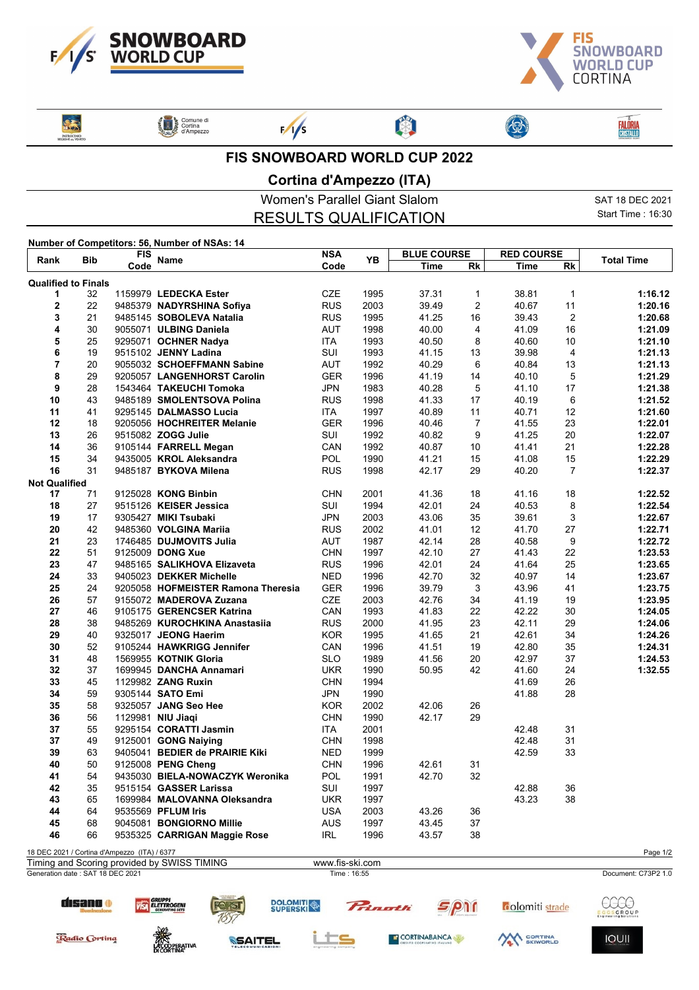



┱

**Said PATROCINIO**<br>UGGIONE on VENE Comune di<br>Cortina<br>d'Ampezzo

 $F/1/s$ 

**FALÔRIA**<br>CRISTALLO

ľ

## **FIS SNOWBOARD WORLD CUP 2022**

啊

## **Cortina d'Ampezzo (ITA)**

|                                               | Women's Parallel Giant Slalom | SAT 18 DEC 2021    |
|-----------------------------------------------|-------------------------------|--------------------|
|                                               | <b>RESULTS QUALIFICATION</b>  | Start Time : 16:30 |
| Number of Competitors: 56, Number of NSAs: 14 |                               |                    |

| <b>Bib</b><br>Rank               |    | FIS                                          | Name                                        | NSA                            |      | <b>BLUE COURSE</b> |    | <b>RED COURSE</b> |                         | <b>Total Time</b>   |
|----------------------------------|----|----------------------------------------------|---------------------------------------------|--------------------------------|------|--------------------|----|-------------------|-------------------------|---------------------|
|                                  |    | Code                                         |                                             | Code                           | YΒ   | Time               | Rk | Time              | Rk                      |                     |
| <b>Qualified to Finals</b>       |    |                                              |                                             |                                |      |                    |    |                   |                         |                     |
| 1                                | 32 |                                              | 1159979 LEDECKA Ester                       | <b>CZE</b>                     | 1995 | 37.31              | 1  | 38.81             | $\mathbf{1}$            | 1:16.12             |
| $\mathbf 2$                      | 22 |                                              | 9485379 NADYRSHINA Sofiya                   | <b>RUS</b>                     | 2003 | 39.49              | 2  | 40.67             | 11                      | 1:20.16             |
| 3                                | 21 |                                              | 9485145 SOBOLEVA Natalia                    | <b>RUS</b>                     | 1995 | 41.25              | 16 | 39.43             | $\overline{2}$          | 1:20.68             |
| 4                                | 30 |                                              | 9055071 ULBING Daniela                      | <b>AUT</b>                     | 1998 | 40.00              | 4  | 41.09             | 16                      | 1:21.09             |
| 5                                | 25 |                                              | 9295071 OCHNER Nadya                        | <b>ITA</b>                     | 1993 | 40.50              | 8  | 40.60             | 10                      | 1:21.10             |
| 6                                | 19 |                                              | 9515102 JENNY Ladina                        | SUI                            | 1993 | 41.15              | 13 | 39.98             | $\overline{\mathbf{4}}$ | 1:21.13             |
| 7                                | 20 |                                              | 9055032 SCHOEFFMANN Sabine                  | AUT                            | 1992 | 40.29              | 6  | 40.84             | 13                      | 1:21.13             |
| 8                                | 29 |                                              | 9205057 LANGENHORST Carolin                 | <b>GER</b>                     | 1996 | 41.19              | 14 | 40.10             | 5                       | 1:21.29             |
| 9                                | 28 |                                              | 1543464 TAKEUCHI Tomoka                     | <b>JPN</b>                     | 1983 | 40.28              | 5  | 41.10             | 17                      | 1:21.38             |
| 10                               | 43 |                                              | 9485189 SMOLENTSOVA Polina                  | <b>RUS</b>                     | 1998 | 41.33              | 17 | 40.19             | 6                       | 1:21.52             |
| 11                               | 41 |                                              | 9295145 DALMASSO Lucia                      | <b>ITA</b>                     | 1997 | 40.89              | 11 | 40.71             | 12                      | 1:21.60             |
| 12                               | 18 |                                              | 9205056 HOCHREITER Melanie                  | <b>GER</b>                     | 1996 | 40.46              | 7  | 41.55             | 23                      | 1:22.01             |
| 13                               | 26 |                                              | 9515082 ZOGG Julie                          | SUI                            | 1992 | 40.82              | 9  | 41.25             | 20                      | 1:22.07             |
| 14                               | 36 |                                              | 9105144 FARRELL Megan                       | CAN                            | 1992 | 40.87              | 10 | 41.41             | 21                      | 1:22.28             |
| 15                               | 34 |                                              | 9435005 KROL Aleksandra                     | POL                            | 1990 | 41.21              | 15 | 41.08             | 15                      | 1:22.29             |
| 16                               | 31 |                                              | 9485187 BYKOVA Milena                       | <b>RUS</b>                     | 1998 | 42.17              | 29 | 40.20             | $\overline{7}$          | 1:22.37             |
| <b>Not Qualified</b>             |    |                                              |                                             |                                |      |                    |    |                   |                         |                     |
| 17                               | 71 |                                              | 9125028 KONG Binbin                         | <b>CHN</b>                     | 2001 | 41.36              | 18 | 41.16             | 18                      | 1:22.52             |
| 18                               | 27 |                                              | 9515126 KEISER Jessica                      | SUI                            | 1994 | 42.01              | 24 | 40.53             | 8                       | 1:22.54             |
| 19                               | 17 |                                              | 9305427 MIKI Tsubaki                        | <b>JPN</b>                     | 2003 | 43.06              | 35 | 39.61             | 3                       | 1:22.67             |
| 20                               | 42 |                                              | 9485360 VOLGINA Mariia                      | <b>RUS</b>                     | 2002 | 41.01              | 12 | 41.70             | 27                      | 1:22.71             |
| 21                               | 23 |                                              | 1746485 DUJMOVITS Julia                     | AUT                            | 1987 | 42.14              | 28 | 40.58             | 9                       | 1:22.72             |
| 22                               | 51 |                                              | 9125009 DONG Xue                            | <b>CHN</b>                     | 1997 | 42.10              | 27 | 41.43             | 22                      | 1:23.53             |
| 23                               | 47 |                                              | 9485165 SALIKHOVA Elizaveta                 | <b>RUS</b>                     | 1996 | 42.01              | 24 | 41.64             | 25                      | 1:23.65             |
| 24                               | 33 |                                              | 9405023 DEKKER Michelle                     | <b>NED</b>                     | 1996 | 42.70              | 32 | 40.97             | 14                      | 1:23.67             |
| 25                               | 24 |                                              | 9205058 HOFMEISTER Ramona Theresia          | <b>GER</b>                     | 1996 | 39.79              | 3  | 43.96             | 41                      | 1:23.75             |
| 26                               | 57 |                                              | 9155072 MADEROVA Zuzana                     | CZE                            | 2003 | 42.76              | 34 | 41.19             | 19                      | 1:23.95             |
| 27                               | 46 |                                              | 9105175 GERENCSER Katrina                   | CAN                            | 1993 | 41.83              | 22 | 42.22             | 30                      | 1:24.05             |
| 28                               | 38 |                                              | 9485269 KUROCHKINA Anastasiia               | <b>RUS</b>                     | 2000 | 41.95              | 23 | 42.11             | 29                      | 1:24.06             |
| 29                               | 40 |                                              | 9325017 JEONG Haerim                        | <b>KOR</b>                     | 1995 | 41.65              | 21 | 42.61             | 34                      | 1:24.26             |
| 30                               | 52 |                                              | 9105244 HAWKRIGG Jennifer                   | CAN                            | 1996 | 41.51              | 19 | 42.80             | 35                      | 1:24.31             |
| 31                               | 48 |                                              | 1569955 KOTNIK Gloria                       | <b>SLO</b>                     | 1989 | 41.56              | 20 | 42.97             | 37                      | 1:24.53             |
| 32                               | 37 |                                              | 1699945 DANCHA Annamari                     | UKR                            | 1990 | 50.95              | 42 | 41.60             | 24                      | 1:32.55             |
| 33                               | 45 |                                              | 1129982 ZANG Ruxin                          | <b>CHN</b>                     | 1994 |                    |    | 41.69             | 26                      |                     |
| 34                               | 59 |                                              | 9305144 SATO Emi                            | <b>JPN</b>                     | 1990 |                    |    | 41.88             | 28                      |                     |
| 35                               | 58 |                                              | 9325057 JANG Seo Hee                        | <b>KOR</b>                     | 2002 | 42.06              | 26 |                   |                         |                     |
| 36                               | 56 |                                              | 1129981 NIU Jiaqi                           | <b>CHN</b>                     | 1990 | 42.17              | 29 |                   |                         |                     |
| 37                               | 55 |                                              | 9295154 CORATTI Jasmin                      | <b>ITA</b>                     | 2001 |                    |    | 42.48             | 31                      |                     |
| 37                               | 49 |                                              | 9125001 GONG Naiying                        | <b>CHN</b>                     | 1998 |                    |    | 42.48             | 31                      |                     |
| 39                               | 63 |                                              | 9405041 BEDIER de PRAIRIE Kiki              | <b>NED</b>                     | 1999 |                    |    | 42.59             | 33                      |                     |
| 40                               | 50 |                                              | 9125008 PENG Cheng                          | <b>CHN</b>                     | 1996 | 42.61              | 31 |                   |                         |                     |
| 41                               | 54 |                                              | 9435030 BIELA-NOWACZYK Weronika             | POL                            | 1991 | 42.70              | 32 |                   |                         |                     |
| 42                               | 35 |                                              | 9515154 GASSER Larissa                      | SUI                            | 1997 |                    |    | 42.88             | 36                      |                     |
| 43                               | 65 |                                              | 1699984 MALOVANNA Oleksandra                | UKR                            | 1997 |                    |    | 43.23             | 38                      |                     |
| 44                               | 64 |                                              | 9535569 PFLUM Iris                          | <b>USA</b>                     | 2003 | 43.26              | 36 |                   |                         |                     |
| 45                               | 68 |                                              | 9045081 BONGIORNO Millie                    | <b>AUS</b>                     | 1997 | 43.45              | 37 |                   |                         |                     |
| 46                               | 66 |                                              | 9535325 CARRIGAN Maggie Rose                | IRL                            | 1996 | 43.57              | 38 |                   |                         |                     |
|                                  |    |                                              |                                             |                                |      |                    |    |                   |                         |                     |
|                                  |    | 18 DEC 2021 / Cortina d'Ampezzo (ITA) / 6377 |                                             |                                |      |                    |    |                   |                         | Page 1/2            |
| Generation date: SAT 18 DEC 2021 |    |                                              | Timing and Scoring provided by SWISS TIMING | www.fis-ski.com<br>Time: 16:55 |      |                    |    |                   |                         | Document: C73P2 1.0 |
|                                  |    |                                              |                                             |                                |      |                    |    |                   |                         |                     |



**VISA** ELETTROGENI

disano o



ts





**IOUII**